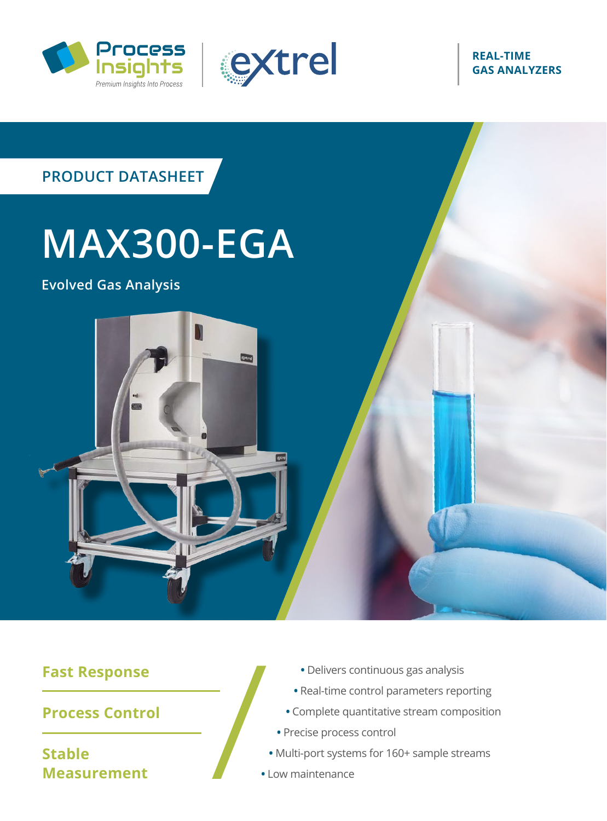



#### **REAL-TIME GAS ANALYZERS**



#### **Fast Response**

**Process Control**

**Stable Measurement**

- **•** Delivers continuous gas analysis
- **•** Real-time control parameters reporting
- **•** Complete quantitative stream composition
- **•** Precise process control
- **•** Multi-port systems for 160+ sample streams
- **•** Low maintenance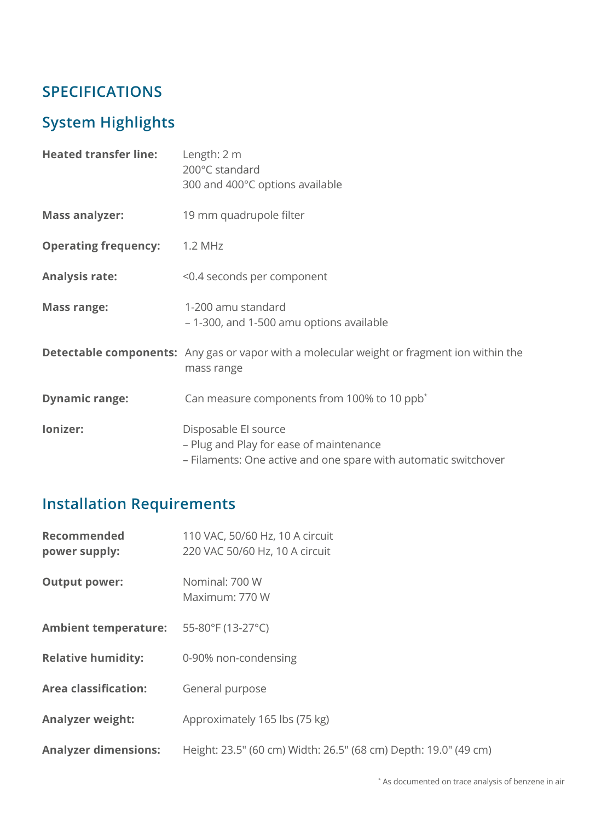# **SPECIFICATIONS**

# **System Highlights**

| <b>Heated transfer line:</b> | Length: 2 m<br>200°C standard<br>300 and 400°C options available                                                                   |
|------------------------------|------------------------------------------------------------------------------------------------------------------------------------|
| <b>Mass analyzer:</b>        | 19 mm quadrupole filter                                                                                                            |
| <b>Operating frequency:</b>  | 1.2 MHz                                                                                                                            |
| <b>Analysis rate:</b>        | <0.4 seconds per component                                                                                                         |
| <b>Mass range:</b>           | 1-200 amu standard<br>- 1-300, and 1-500 amu options available                                                                     |
|                              | <b>Detectable components:</b> Any gas or vapor with a molecular weight or fragment ion within the<br>mass range                    |
| <b>Dynamic range:</b>        | Can measure components from 100% to 10 ppb <sup>*</sup>                                                                            |
| lonizer:                     | Disposable El source<br>- Plug and Play for ease of maintenance<br>- Filaments: One active and one spare with automatic switchover |

# **Installation Requirements**

| <b>Recommended</b><br>power supply:    | 110 VAC, 50/60 Hz, 10 A circuit<br>220 VAC 50/60 Hz, 10 A circuit |
|----------------------------------------|-------------------------------------------------------------------|
| <b>Output power:</b>                   | Nominal: 700 W<br>Maximum: 770 W                                  |
| Ambient temperature: 55-80°F (13-27°C) |                                                                   |
| <b>Relative humidity:</b>              | 0-90% non-condensing                                              |
| <b>Area classification:</b>            | General purpose                                                   |
| <b>Analyzer weight:</b>                | Approximately 165 lbs (75 kg)                                     |
| <b>Analyzer dimensions:</b>            | Height: 23.5" (60 cm) Width: 26.5" (68 cm) Depth: 19.0" (49 cm)   |